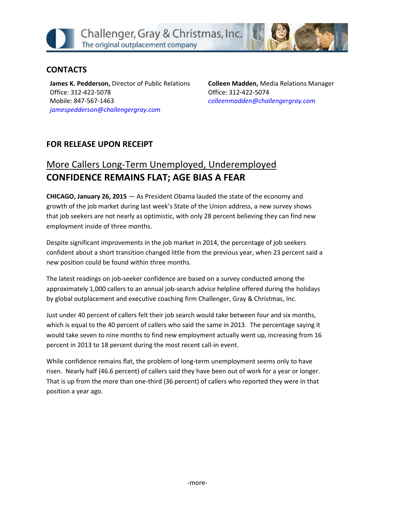

## **CONTACTS**

**James K. Pedderson,** Director of Public Relations Office: 312-422-5078 Mobile: 847-567-1463 *[jamespedderson@challengergray.com](mailto:jamespedderson@challengergray.com)*

**Colleen Madden,** Media Relations Manager Office: 312-422-5074 *[colleenmadden@challengergray.com](mailto:colleenmadden@challengergray.com)*

## **FOR RELEASE UPON RECEIPT**

## More Callers Long-Term Unemployed, Underemployed **CONFIDENCE REMAINS FLAT; AGE BIAS A FEAR**

**CHICAGO, January 26, 2015** — As President Obama lauded the state of the economy and growth of the job market during last week's State of the Union address, a new survey shows that job seekers are not nearly as optimistic, with only 28 percent believing they can find new employment inside of three months.

Despite significant improvements in the job market in 2014, the percentage of job seekers confident about a short transition changed little from the previous year, when 23 percent said a new position could be found within three months.

The latest readings on job-seeker confidence are based on a survey conducted among the approximately 1,000 callers to an annual job-search advice helpline offered during the holidays by global outplacement and executive coaching firm Challenger, Gray & Christmas, Inc.

Just under 40 percent of callers felt their job search would take between four and six months, which is equal to the 40 percent of callers who said the same in 2013. The percentage saying it would take seven to nine months to find new employment actually went up, increasing from 16 percent in 2013 to 18 percent during the most recent call-in event.

While confidence remains flat, the problem of long-term unemployment seems only to have risen. Nearly half (46.6 percent) of callers said they have been out of work for a year or longer. That is up from the more than one-third (36 percent) of callers who reported they were in that position a year ago.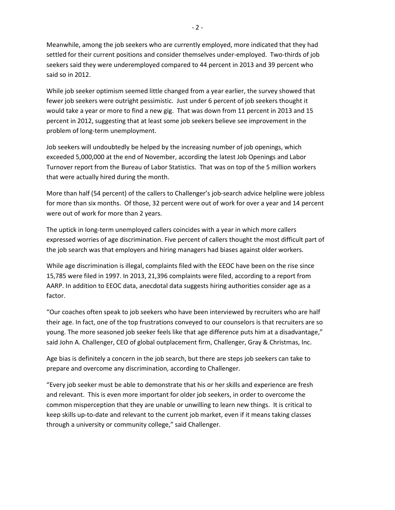Meanwhile, among the job seekers who are currently employed, more indicated that they had settled for their current positions and consider themselves under-employed. Two-thirds of job seekers said they were underemployed compared to 44 percent in 2013 and 39 percent who said so in 2012.

While job seeker optimism seemed little changed from a year earlier, the survey showed that fewer job seekers were outright pessimistic. Just under 6 percent of job seekers thought it would take a year or more to find a new gig. That was down from 11 percent in 2013 and 15 percent in 2012, suggesting that at least some job seekers believe see improvement in the problem of long-term unemployment.

Job seekers will undoubtedly be helped by the increasing number of job openings, which exceeded 5,000,000 at the end of November, according the latest Job Openings and Labor Turnover report from the Bureau of Labor Statistics. That was on top of the 5 million workers that were actually hired during the month.

More than half (54 percent) of the callers to Challenger's job-search advice helpline were jobless for more than six months. Of those, 32 percent were out of work for over a year and 14 percent were out of work for more than 2 years.

The uptick in long-term unemployed callers coincides with a year in which more callers expressed worries of age discrimination. Five percent of callers thought the most difficult part of the job search was that employers and hiring managers had biases against older workers.

While age discrimination is illegal, complaints filed with the EEOC have been on the rise since 15,785 were filed in 1997. In 2013, 21,396 complaints were filed, according to a report from AARP. In addition to EEOC data, anecdotal data suggests hiring authorities consider age as a factor.

"Our coaches often speak to job seekers who have been interviewed by recruiters who are half their age. In fact, one of the top frustrations conveyed to our counselors is that recruiters are so young. The more seasoned job seeker feels like that age difference puts him at a disadvantage," said John A. Challenger, CEO of global outplacement firm, Challenger, Gray & Christmas, Inc.

Age bias is definitely a concern in the job search, but there are steps job seekers can take to prepare and overcome any discrimination, according to Challenger.

"Every job seeker must be able to demonstrate that his or her skills and experience are fresh and relevant. This is even more important for older job seekers, in order to overcome the common misperception that they are unable or unwilling to learn new things. It is critical to keep skills up-to-date and relevant to the current job market, even if it means taking classes through a university or community college," said Challenger.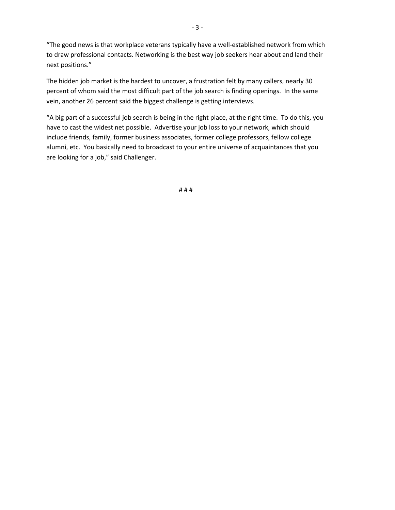"The good news is that workplace veterans typically have a well-established network from which to draw professional contacts. Networking is the best way job seekers hear about and land their next positions."

The hidden job market is the hardest to uncover, a frustration felt by many callers, nearly 30 percent of whom said the most difficult part of the job search is finding openings. In the same vein, another 26 percent said the biggest challenge is getting interviews.

"A big part of a successful job search is being in the right place, at the right time. To do this, you have to cast the widest net possible. Advertise your job loss to your network, which should include friends, family, former business associates, former college professors, fellow college alumni, etc. You basically need to broadcast to your entire universe of acquaintances that you are looking for a job," said Challenger.

# # #